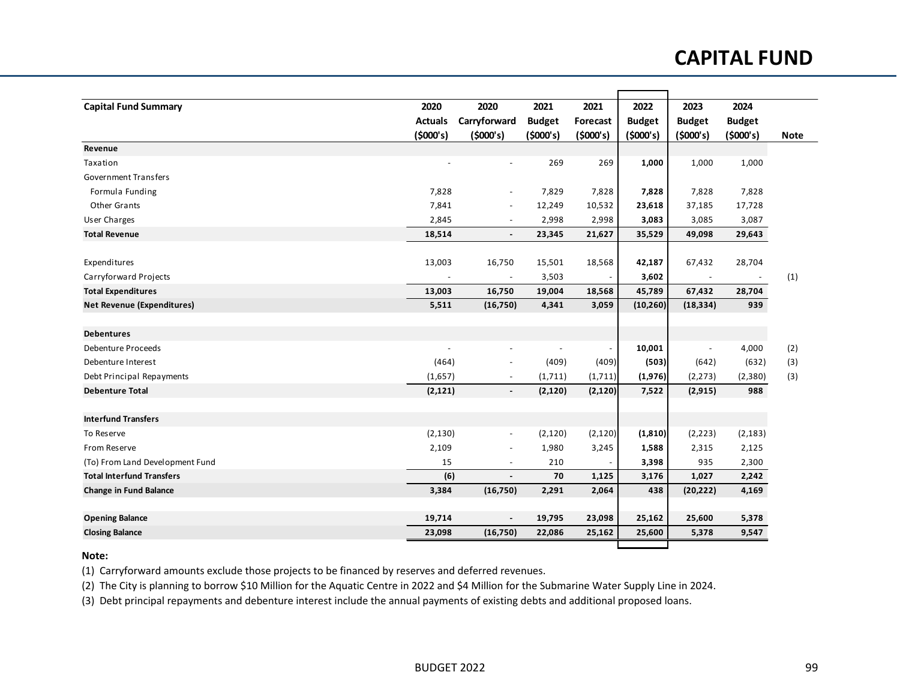## **CAPITAL FUND**

| <b>Capital Fund Summary</b>       | 2020           | 2020                     | 2021          | 2021     | 2022          | 2023          | 2024          |             |
|-----------------------------------|----------------|--------------------------|---------------|----------|---------------|---------------|---------------|-------------|
|                                   | <b>Actuals</b> | Carryforward             | <b>Budget</b> | Forecast | <b>Budget</b> | <b>Budget</b> | <b>Budget</b> |             |
|                                   | (5000's)       | (5000's)                 | (\$000's)     | (5000's) | (\$000's)     | (5000's)      | (5000's)      | <b>Note</b> |
| Revenue                           |                |                          |               |          |               |               |               |             |
| Taxation                          |                |                          | 269           | 269      | 1,000         | 1,000         | 1,000         |             |
| <b>Government Transfers</b>       |                |                          |               |          |               |               |               |             |
| Formula Funding                   | 7,828          | $\overline{\phantom{a}}$ | 7,829         | 7,828    | 7,828         | 7,828         | 7,828         |             |
| Other Grants                      | 7,841          | $\blacksquare$           | 12,249        | 10,532   | 23,618        | 37,185        | 17,728        |             |
| <b>User Charges</b>               | 2,845          | $\blacksquare$           | 2,998         | 2,998    | 3,083         | 3,085         | 3,087         |             |
| <b>Total Revenue</b>              | 18,514         | $\blacksquare$           | 23,345        | 21,627   | 35,529        | 49,098        | 29,643        |             |
|                                   |                |                          |               |          |               |               |               |             |
| Expenditures                      | 13,003         | 16,750                   | 15,501        | 18,568   | 42,187        | 67,432        | 28,704        |             |
| Carryforward Projects             |                | $\sim$                   | 3,503         |          | 3,602         |               |               | (1)         |
| <b>Total Expenditures</b>         | 13,003         | 16,750                   | 19,004        | 18,568   | 45,789        | 67,432        | 28,704        |             |
| <b>Net Revenue (Expenditures)</b> | 5,511          | (16, 750)                | 4,341         | 3,059    | (10, 260)     | (18, 334)     | 939           |             |
| <b>Debentures</b>                 |                |                          |               |          |               |               |               |             |
| <b>Debenture Proceeds</b>         | $\overline{a}$ | $\overline{a}$           |               |          | 10,001        |               | 4,000         | (2)         |
| Debenture Interest                | (464)          | $\overline{\phantom{a}}$ | (409)         | (409)    | (503)         | (642)         | (632)         | (3)         |
| Debt Principal Repayments         | (1,657)        | $\overline{\phantom{a}}$ | (1,711)       | (1,711)  | (1,976)       | (2, 273)      | (2,380)       | (3)         |
| <b>Debenture Total</b>            | (2, 121)       | $\blacksquare$           | (2, 120)      | (2, 120) | 7,522         | (2, 915)      | 988           |             |
| <b>Interfund Transfers</b>        |                |                          |               |          |               |               |               |             |
| To Reserve                        | (2, 130)       | $\overline{\phantom{a}}$ | (2, 120)      | (2, 120) | (1, 810)      | (2, 223)      | (2, 183)      |             |
| From Reserve                      | 2,109          | $\overline{a}$           |               |          |               |               |               |             |
|                                   |                | $\overline{a}$           | 1,980         | 3,245    | 1,588         | 2,315         | 2,125         |             |
| (To) From Land Development Fund   | 15             |                          | 210           |          | 3,398         | 935           | 2,300         |             |
| <b>Total Interfund Transfers</b>  | (6)            | $\overline{a}$           | 70            | 1,125    | 3,176         | 1,027         | 2,242         |             |
| <b>Change in Fund Balance</b>     | 3,384          | (16,750)                 | 2,291         | 2,064    | 438           | (20, 222)     | 4,169         |             |
| <b>Opening Balance</b>            | 19,714         | $\blacksquare$           | 19,795        | 23,098   | 25,162        | 25,600        | 5,378         |             |
| <b>Closing Balance</b>            | 23,098         | (16,750)                 | 22,086        | 25,162   | 25,600        | 5,378         | 9,547         |             |
|                                   |                |                          |               |          |               |               |               |             |

## **Note:**

(1) Carryforward amounts exclude those projects to be financed by reserves and deferred revenues.

(2) The City is planning to borrow \$10 Million for the Aquatic Centre in 2022 and \$4 Million for the Submarine Water Supply Line in 2024.

(3) Debt principal repayments and debenture interest include the annual payments of existing debts and additional proposed loans.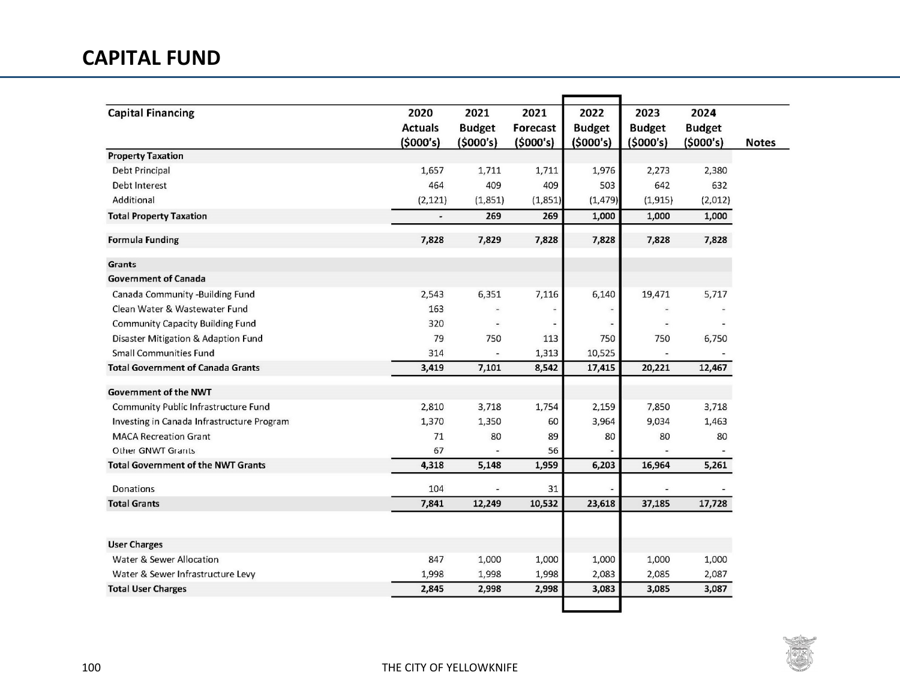## **CAPITAL FUND**

| <b>Capital Financing</b>                   | 2020           | 2021                     | 2021     | 2022                     | 2023                     | 2024          |              |
|--------------------------------------------|----------------|--------------------------|----------|--------------------------|--------------------------|---------------|--------------|
|                                            | <b>Actuals</b> | <b>Budget</b>            | Forecast | <b>Budget</b>            | <b>Budget</b>            | <b>Budget</b> |              |
|                                            | (5000's)       | (\$000's)                | (5000's) | (5000's)                 | (5000's)                 | (5000's)      | <b>Notes</b> |
| <b>Property Taxation</b>                   |                |                          |          |                          |                          |               |              |
| Debt Principal                             | 1,657          | 1,711                    | 1,711    | 1,976                    | 2,273                    | 2,380         |              |
| Debt Interest                              | 464            | 409                      | 409      | 503                      | 642                      | 632           |              |
| Additional                                 | (2, 121)       | (1,851)                  | (1,851)  | (1, 479)                 | (1, 915)                 | (2,012)       |              |
| <b>Total Property Taxation</b>             |                | 269                      | 269      | 1,000                    | 1,000                    | 1,000         |              |
| <b>Formula Funding</b>                     | 7,828          | 7,829                    | 7,828    | 7,828                    | 7,828                    | 7,828         |              |
| Grants                                     |                |                          |          |                          |                          |               |              |
| <b>Government of Canada</b>                |                |                          |          |                          |                          |               |              |
| Canada Community -Building Fund            | 2,543          | 6,351                    | 7,116    | 6,140                    | 19,471                   | 5,717         |              |
| Clean Water & Wastewater Fund              | 163            | $\overline{\phantom{a}}$ |          | $\overline{\phantom{a}}$ | $\overline{\phantom{a}}$ |               |              |
| Community Capacity Building Fund           | 320            | $\sim$                   |          | $\overline{\phantom{a}}$ | $\overline{\phantom{a}}$ |               |              |
| Disaster Mitigation & Adaption Fund        | 79             | 750                      | 113      | 750                      | 750                      | 6,750         |              |
| <b>Small Communities Fund</b>              | 314            |                          | 1,313    | 10,525                   |                          |               |              |
| <b>Total Government of Canada Grants</b>   | 3,419          | 7,101                    | 8,542    | 17,415                   | 20,221                   | 12,467        |              |
| <b>Government of the NWT</b>               |                |                          |          |                          |                          |               |              |
| Community Public Infrastructure Fund       | 2,810          | 3,718                    | 1,754    | 2,159                    | 7,850                    | 3,718         |              |
| Investing in Canada Infrastructure Program | 1,370          | 1,350                    | 60       | 3,964                    | 9,034                    | 1,463         |              |
| <b>MACA Recreation Grant</b>               | 71             | 80                       | 89       | 80                       | 80                       | 80            |              |
| Other GNWT Grants                          | 67             |                          | 56       |                          |                          |               |              |
| <b>Total Government of the NWT Grants</b>  | 4,318          | 5,148                    | 1,959    | 6,203                    | 16,964                   | 5,261         |              |
| <b>Donations</b>                           | 104            | $\blacksquare$           | 31       |                          |                          |               |              |
| <b>Total Grants</b>                        | 7,841          | 12,249                   | 10,532   | 23,618                   | 37,185                   | 17,728        |              |
|                                            |                |                          |          |                          |                          |               |              |
| <b>User Charges</b>                        |                |                          |          |                          |                          |               |              |
| Water & Sewer Allocation                   | 847            | 1,000                    | 1,000    | 1,000                    | 1,000                    | 1,000         |              |
| Water & Sewer Infrastructure Levy          | 1,998          | 1,998                    | 1,998    | 2,083                    | 2,085                    | 2,087         |              |
| <b>Total User Charges</b>                  | 2,845          | 2,998                    | 2,998    | 3,083                    | 3,085                    | 3,087         |              |
|                                            |                |                          |          |                          |                          |               |              |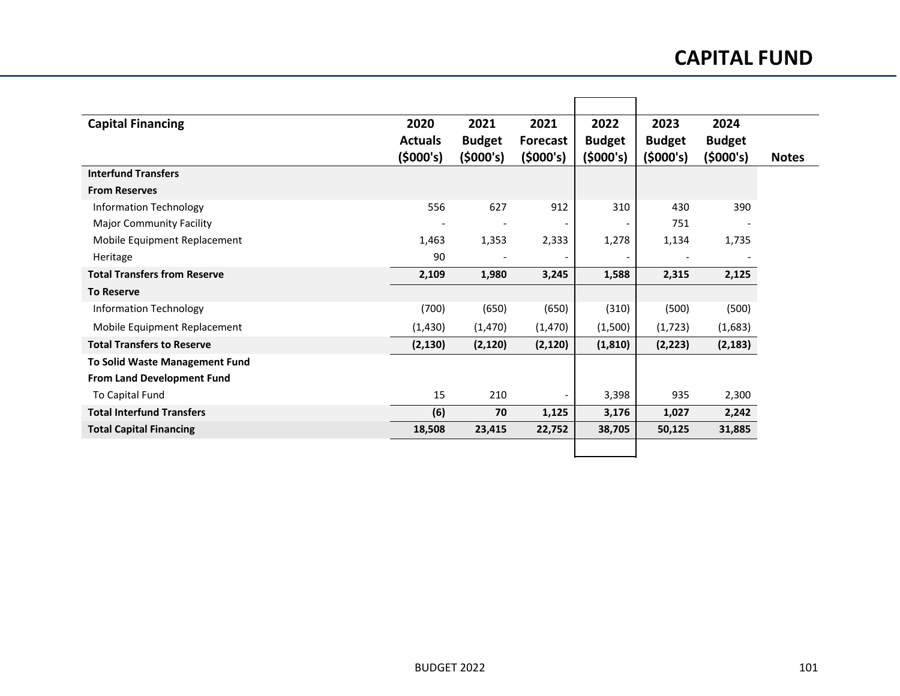## **CAPITAL FUND**

| <b>Capital Financing</b>              | 2020<br><b>Actuals</b> | 2021<br><b>Budget</b> | 2021<br><b>Forecast</b>  | 2022<br><b>Budget</b> | 2023<br><b>Budget</b> | 2024<br><b>Budget</b> |
|---------------------------------------|------------------------|-----------------------|--------------------------|-----------------------|-----------------------|-----------------------|
|                                       | (5000's)               | (5000's)              | (5000's)                 | (5000's)              | (5000's)              | (5000's)              |
| <b>Interfund Transfers</b>            |                        |                       |                          |                       |                       |                       |
| <b>From Reserves</b>                  |                        |                       |                          |                       |                       |                       |
| Information Technology                | 556                    | 627                   | 912                      | 310                   | 430                   | 390                   |
| <b>Major Community Facility</b>       |                        |                       | $\overline{\phantom{a}}$ | -                     | 751                   |                       |
| Mobile Equipment Replacement          | 1,463                  | 1,353                 | 2,333                    | 1,278                 | 1,134                 | 1,735                 |
| Heritage                              | 90                     |                       |                          | -                     |                       |                       |
| <b>Total Transfers from Reserve</b>   | 2,109                  | 1,980                 | 3,245                    | 1,588                 | 2,315                 | 2,125                 |
| <b>To Reserve</b>                     |                        |                       |                          |                       |                       |                       |
| <b>Information Technology</b>         | (700)                  | (650)                 | (650)                    | (310)                 | (500)                 | (500)                 |
| Mobile Equipment Replacement          | (1, 430)               | (1, 470)              | (1,470)                  | (1,500)               | (1, 723)              | (1,683)               |
| <b>Total Transfers to Reserve</b>     | (2, 130)               | (2, 120)              | (2, 120)                 | (1, 810)              | (2, 223)              | (2, 183)              |
| <b>To Solid Waste Management Fund</b> |                        |                       |                          |                       |                       |                       |
| <b>From Land Development Fund</b>     |                        |                       |                          |                       |                       |                       |
| To Capital Fund                       | 15                     | 210                   |                          | 3,398                 | 935                   | 2,300                 |
| <b>Total Interfund Transfers</b>      | (6)                    | 70                    | 1,125                    | 3,176                 | 1,027                 | 2,242                 |
| <b>Total Capital Financing</b>        | 18,508                 | 23,415                | 22,752                   | 38,705                | 50,125                | 31,885                |